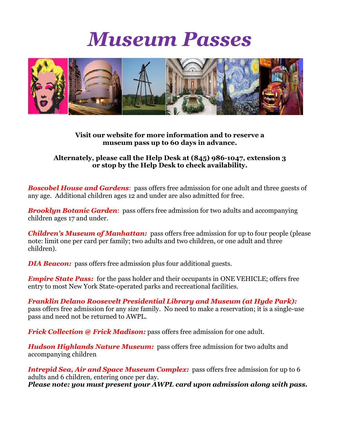## *Museum Passes*



## **Visit our website for more information and to reserve a museum pass up to 60 days in advance.**

## **Alternately, please call the Help Desk at (845) 986-1047, extension 3 or stop by the Help Desk to check availability.**

**Boscobel House and Gardens:** pass offers free admission for one adult and three guests of any age. Additional children ages 12 and under are also admitted for free.

*Brooklyn Botanic Garden:* pass offers free admission for two adults and accompanying children ages 17 and under.

*Children's Museum of Manhattan:* pass offers free admission for up to four people (please note: limit one per card per family; two adults and two children, or one adult and three children).

*DIA Beacon:* pass offers free admission plus four additional guests.

*Empire State Pass:* for the pass holder and their occupants in ONE VEHICLE; offers free entry to most New York State-operated parks and recreational facilities.

*Franklin Delano Roosevelt Presidential Library and Museum (at Hyde Park):* pass offers free admission for any size family. No need to make a reservation; it is a single-use pass and need not be returned to AWPL.

*Frick Collection @ Frick Madison:* pass offers free admission for one adult.

*Hudson Highlands Nature Museum:* pass offers free admission for two adults and accompanying children

*Intrepid Sea, Air and Space Museum Complex:* pass offers free admission for up to 6 adults and 6 children, entering once per day. *Please note: you must present your AWPL card upon admission along with pass.*